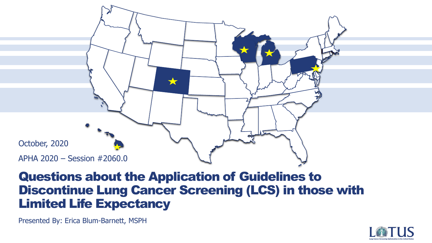

### Questions about the Application of Guidelines to Discontinue Lung Cancer Screening (LCS) in those with Limited Life Expectancy

Presented By: Erica Blum-Barnett, MSPH

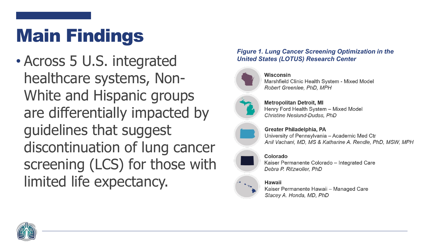# Main Findings

• Across 5 U.S. integrated healthcare systems, Non-White and Hispanic groups are differentially impacted by guidelines that suggest discontinuation of lung cancer screening (LCS) for those with limited life expectancy.

#### *Figure 1. Lung Cancer Screening Optimization in the United States (LOTUS) Research Center*



Wisconsin Marshfield Clinic Health System - Mixed Model Robert Greenlee, PhD, MPH

**Metropolitan Detroit, MI** Henry Ford Health System - Mixed Model Christine Neslund-Dudas, PhD



Greater Philadelphia, PA University of Pennsylvania - Academic Med Ctr Anil Vachani, MD, MS & Katharine A. Rendle, PhD, MSW, MPH

#### Colorado

Kaiser Permanente Colorado - Integrated Care Debra P. Ritzwoller, PhD

#### Hawaii

Kaiser Permanente Hawaii - Managed Care Stacey A. Honda, MD, PhD

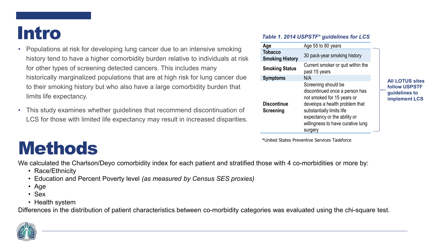### Intro

- Populations at risk for developing lung cancer due to an intensive smoking history tend to have a higher comorbidity burden relative to individuals at risk for other types of screening detected cancers. This includes many historically marginalized populations that are at high risk for lung cancer due to their smoking history but who also have a large comorbidity burden that limits life expectancy.
- This study examines whether guidelines that recommend discontinuation of LCS for those with limited life expectancy may result in increased disparities.

### Methods

We calculated the Charlson/Deyo comorbidity index for each patient and stratified those with 4 co-morbidities or more by:

- Race/Ethnicity
- Education and Percent Poverty level *(as measured by Census SES proxies)*
- Age
- Sex
- Health system

Differences in the distribution of patient characteristics between co-morbidity categories was evaluated using the chi-square test.

#### *Table 1. 2014 USPSTF\* guidelines for LCS*

| Age                                      | Age 55 to 80 years                                                                                                                                                                                                                 |  |
|------------------------------------------|------------------------------------------------------------------------------------------------------------------------------------------------------------------------------------------------------------------------------------|--|
| <b>Tobacco</b><br><b>Smoking History</b> | 30 pack-year smoking history                                                                                                                                                                                                       |  |
| <b>Smoking Status</b>                    | Current smoker or quit within the<br>past 15 years                                                                                                                                                                                 |  |
| <b>Symptoms</b>                          | N/A                                                                                                                                                                                                                                |  |
| <b>Discontinue</b><br><b>Screening</b>   | Screening should be<br>discontinued once a person has<br>not smoked for 15 years or<br>develops a health problem that<br>substantially limits life<br>expectancy or the ability or<br>willingness to have curative lung<br>surgery |  |

\*United States Preventive Services Taskforce

**All LOTUS sites follow USPSTF guidelines to implement LCS**

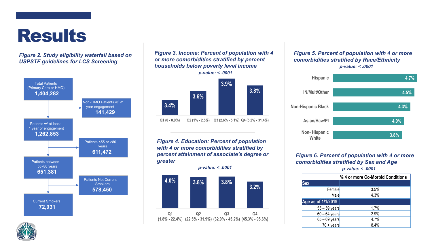## **Results**

#### *Figure 2. Study eligibility waterfall based on USPSTF guidelines for LCS Screening*



#### *Figure 3. Income: Percent of population with 4 or more comorbidities stratified by percent households below poverty level income*



*Figure 4. Education: Percent of population with 4 or more comorbidities stratified by percent attainment of associate's degree or greater* 



#### *Figure 5. Percent of population with 4 or more comorbidities stratified by Race/Ethnicity p-value: < .0001*



*Figure 6. Percent of population with 4 or more comorbidities stratified by Sex and Age p-value: < .0001*

|                     | % 4 or more Co-Morbid Conditions |
|---------------------|----------------------------------|
| <b>Sex</b>          |                                  |
| Female              | 3.5%                             |
| Male                | 4.3%                             |
| Age as of 1/1/2019  |                                  |
| $55 - 59$ years     | 1.7%                             |
| $60 - 64$ years     | 2.9%                             |
| $65 - 69$ years     | 4.7%                             |
| $70 + \text{years}$ | 8.4%                             |

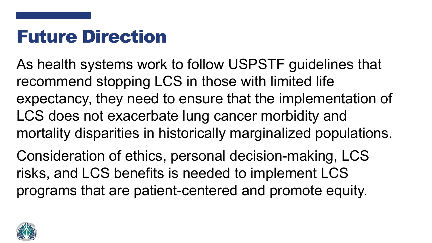# Future Direction

As health systems work to follow USPSTF guidelines that recommend stopping LCS in those with limited life expectancy, they need to ensure that the implementation of LCS does not exacerbate lung cancer morbidity and mortality disparities in historically marginalized populations.

Consideration of ethics, personal decision-making, LCS risks, and LCS benefits is needed to implement LCS programs that are patient-centered and promote equity.